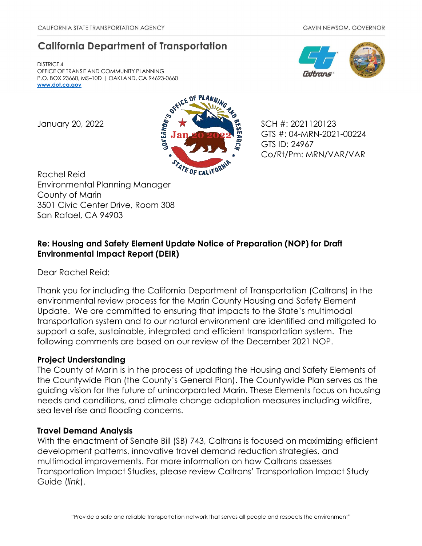# **California Department of Transportation**

DISTRICT 4 OFFICE OF TRANSIT AND COMMUNITY PLANNING P.O. BOX 23660, MS–10D | OAKLAND, CA 94623-0660 **[www.dot.ca.gov](http://www.dot.ca.gov/)**



GTS #: 04-MRN-2021-00224 GTS ID: 24967 Co/Rt/Pm: MRN/VAR/VAR

Rachel Reid Environmental Planning Manager County of Marin 3501 Civic Center Drive, Room 308 San Rafael, CA 94903

## **Re: Housing and Safety Element Update Notice of Preparation (NOP) for Draft Environmental Impact Report (DEIR)**

Dear Rachel Reid:

Thank you for including the California Department of Transportation (Caltrans) in the environmental review process for the Marin County Housing and Safety Element Update. We are committed to ensuring that impacts to the State's multimodal transportation system and to our natural environment are identified and mitigated to support a safe, sustainable, integrated and efficient transportation system. The following comments are based on our review of the December 2021 NOP.

### **Project Understanding**

The County of Marin is in the process of updating the Housing and Safety Elements of the Countywide Plan (the County's General Plan). The Countywide Plan serves as the guiding vision for the future of unincorporated Marin. These Elements focus on housing needs and conditions, and climate change adaptation measures including wildfire, sea level rise and flooding concerns.

### **Travel Demand Analysis**

With the enactment of Senate Bill (SB) 743, Caltrans is focused on maximizing efficient development patterns, innovative travel demand reduction strategies, and multimodal improvements. For more information on how Caltrans assesses Transportation Impact Studies, please review Caltrans' [Transportation Impact Study](https://dot.ca.gov/-/media/dot-media/programs/transportation-planning/documents/sb-743/2020-05-20-approved-vmt-focused-tisg-a11y.pdf)  [Guide \(](https://dot.ca.gov/-/media/dot-media/programs/transportation-planning/documents/sb-743/2020-05-20-approved-vmt-focused-tisg-a11y.pdf)*[link](https://dot.ca.gov/-/media/dot-media/programs/transportation-planning/documents/sb-743/2020-05-20-approved-vmt-focused-tisg-a11y.pdf)*).